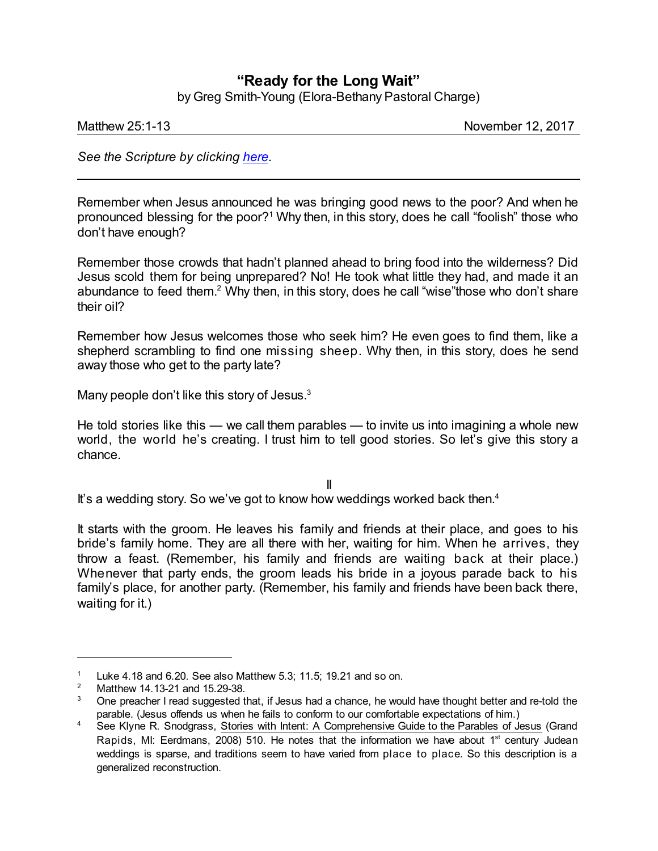## **"Ready for the Long Wait"**

by Greg Smith-Young (Elora-Bethany Pastoral Charge)

Matthew 25:1-13 **November 12, 2017** 

*See the Scripture by clicking [here](https://www.biblegateway.com/passage/?search=Matthew+25%3A1-13&version=NRSV).*

Remember when Jesus announced he was bringing good news to the poor? And when he pronounced blessing for the poor? <sup>1</sup> Why then, in this story, does he call "foolish" those who don't have enough?

Remember those crowds that hadn't planned ahead to bring food into the wilderness? Did Jesus scold them for being unprepared? No! He took what little they had, and made it an abundance to feed them.<sup>2</sup> Why then, in this story, does he call "wise"those who don't share their oil?

Remember how Jesus welcomes those who seek him? He even goes to find them, like a shepherd scrambling to find one missing sheep. Why then, in this story, does he send away those who get to the party late?

Many people don't like this story of Jesus.<sup>3</sup>

He told stories like this — we call them parables — to invite us into imagining a whole new world, the world he's creating. I trust him to tell good stories. So let's give this story a chance.

II

It's a wedding story. So we've got to know how weddings worked back then.<sup>4</sup>

It starts with the groom. He leaves his family and friends at their place, and goes to his bride's family home. They are all there with her, waiting for him. When he arrives, they throw a feast. (Remember, his family and friends are waiting back at their place.) Whenever that party ends, the groom leads his bride in a joyous parade back to his family's place, for another party. (Remember, his family and friends have been back there, waiting for it.)

<sup>&</sup>lt;sup>1</sup> Luke 4.18 and 6.20. See also Matthew 5.3; 11.5; 19.21 and so on.<br><sup>2</sup> Matthow 14.13.21 and 15.20.28

<sup>2</sup> Matthew 14.13-21 and 15.29-38.

 $3$  One preacher I read suggested that, if Jesus had a chance, he would have thought better and re-told the parable. (Jesus offends us when he fails to conform to our comfortable expectations of him.)

<sup>&</sup>lt;sup>4</sup> See Klyne R. Snodgrass, Stories with Intent: A Comprehensive Guide to the Parables of Jesus (Grand Rapids, MI: Eerdmans, 2008) 510. He notes that the information we have about 1<sup>st</sup> century Judean weddings is sparse, and traditions seem to have varied from place to place. So this description is a generalized reconstruction.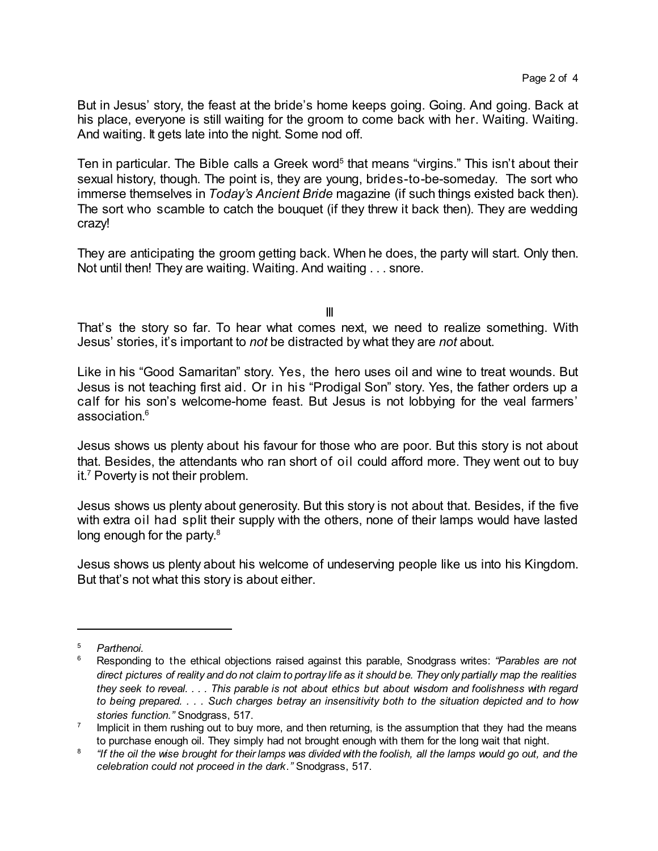But in Jesus' story, the feast at the bride's home keeps going. Going. And going. Back at his place, everyone is still waiting for the groom to come back with her. Waiting. Waiting. And waiting. It gets late into the night. Some nod off.

Ten in particular. The Bible calls a Greek word<sup>5</sup> that means "virgins." This isn't about their sexual history, though. The point is, they are young, brides-to-be-someday. The sort who immerse themselves in *Today's Ancient Bride* magazine (if such things existed back then). The sort who scamble to catch the bouquet (if they threw it back then). They are wedding crazy!

They are anticipating the groom getting back. When he does, the party will start. Only then. Not until then! They are waiting. Waiting. And waiting . . . snore.

III

That's the story so far. To hear what comes next, we need to realize something. With Jesus' stories, it's important to *not* be distracted by what they are *not* about.

Like in his "Good Samaritan" story. Yes, the hero uses oil and wine to treat wounds. But Jesus is not teaching first aid. Or in his "Prodigal Son" story. Yes, the father orders up a calf for his son's welcome-home feast. But Jesus is not lobbying for the veal farmers' association. 6

Jesus shows us plenty about his favour for those who are poor. But this story is not about that. Besides, the attendants who ran short of oil could afford more. They went out to buy it.<sup>7</sup> Poverty is not their problem.

Jesus shows us plenty about generosity. But this story is not about that. Besides, if the five with extra oil had split their supply with the others, none of their lamps would have lasted long enough for the party.<sup>8</sup>

Jesus shows us plenty about his welcome of undeserving people like us into his Kingdom. But that's not what this story is about either.

<sup>5</sup> *Parthenoi.*

<sup>6</sup> Responding to the ethical objections raised against this parable, Snodgrass writes: *"Parables are not* direct pictures of reality and do not claim to portray life as it should be. They only partially map the realities they seek to reveal. . . . This parable is not about ethics but about wisdom and foolishness with regard to being prepared. . . . Such charges betray an insensitivity both to the situation depicted and to how *stories function."* Snodgrass, 517.

<sup>7</sup> Implicit in them rushing out to buy more, and then returning, is the assumption that they had the means to purchase enough oil. They simply had not brought enough with them for the long wait that night.

 $^{\rm 8}$   $\,$  "If the oil the wise brought for their lamps was divided with the foolish, all the lamps would go out, and the *celebration could not proceed in the dark."* Snodgrass, 517.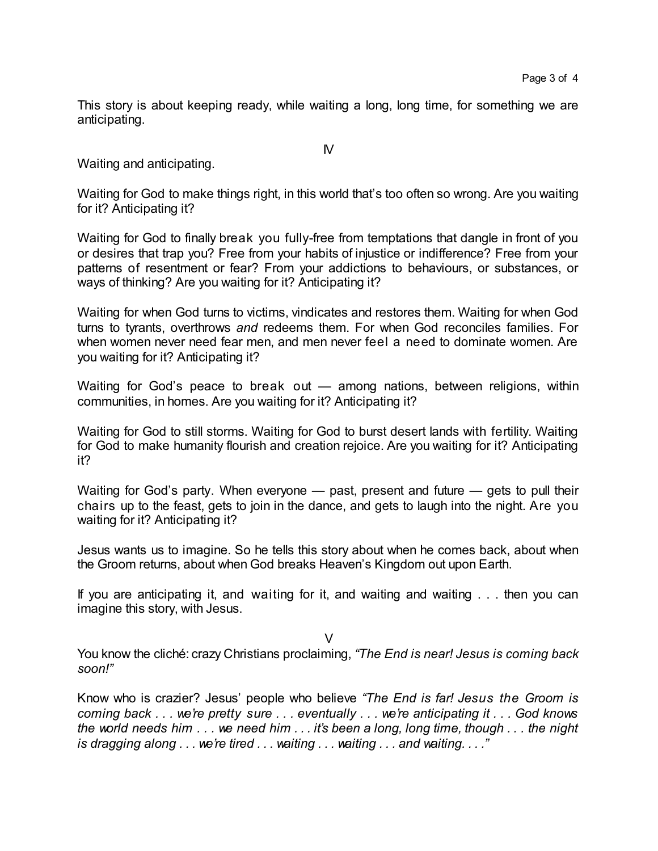This story is about keeping ready, while waiting a long, long time, for something we are anticipating.

 $\mathsf{N}$ 

Waiting and anticipating.

Waiting for God to make things right, in this world that's too often so wrong. Are you waiting for it? Anticipating it?

Waiting for God to finally break you fully-free from temptations that dangle in front of you or desires that trap you? Free from your habits of injustice or indifference? Free from your patterns of resentment or fear? From your addictions to behaviours, or substances, or ways of thinking? Are you waiting for it? Anticipating it?

Waiting for when God turns to victims, vindicates and restores them. Waiting for when God turns to tyrants, overthrows *and* redeems them. For when God reconciles families. For when women never need fear men, and men never feel a need to dominate women. Are you waiting for it? Anticipating it?

Waiting for God's peace to break out — among nations, between religions, within communities, in homes. Are you waiting for it? Anticipating it?

Waiting for God to still storms. Waiting for God to burst desert lands with fertility. Waiting for God to make humanity flourish and creation rejoice. Are you waiting for it? Anticipating it?

Waiting for God's party. When everyone — past, present and future — gets to pull their chairs up to the feast, gets to join in the dance, and gets to laugh into the night. Are you waiting for it? Anticipating it?

Jesus wants us to imagine. So he tells this story about when he comes back, about when the Groom returns, about when God breaks Heaven's Kingdom out upon Earth.

If you are anticipating it, and waiting for it, and waiting and waiting . . . then you can imagine this story, with Jesus.

 $\vee$ 

You know the cliché: crazy Christians proclaiming, *"The End is near! Jesus is coming back soon!"*

Know who is crazier? Jesus' people who believe *"The End is far! Jesus the Groom is coming back . . . we're pretty sure . . . eventually . . . we're anticipating it . . . God knows the world needs him . . . we need him . . . it's been a long, long time, though . . . the night is dragging along . . . we're tired . . . waiting . . . waiting . . . and waiting. . . ."*